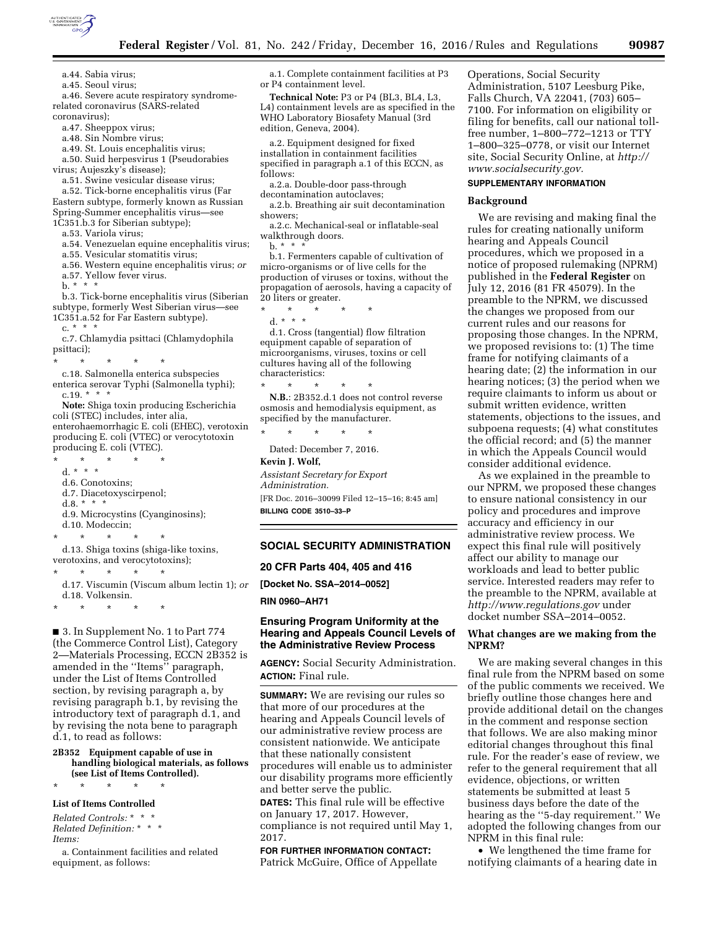

a.44. Sabia virus;

a.45. Seoul virus;

a.46. Severe acute respiratory syndromerelated coronavirus (SARS-related

coronavirus);

a.47. Sheeppox virus;

a.48. Sin Nombre virus;

a.49. St. Louis encephalitis virus;

a.50. Suid herpesvirus 1 (Pseudorabies virus; Aujeszky's disease);

a.51. Swine vesicular disease virus;

a.52. Tick-borne encephalitis virus (Far Eastern subtype, formerly known as Russian Spring-Summer encephalitis virus—see 1C351.b.3 for Siberian subtype);

a.53. Variola virus;

a.54. Venezuelan equine encephalitis virus;

a.55. Vesicular stomatitis virus;

a.56. Western equine encephalitis virus; *or* 

a.57. Yellow fever virus.

b. \* \* \*

b.3. Tick-borne encephalitis virus (Siberian subtype, formerly West Siberian virus—see 1C351.a.52 for Far Eastern subtype).

 $c. * * * *$ 

c.7. Chlamydia psittaci (Chlamydophila psittaci);

\* \* \* \* \*

c.18. Salmonella enterica subspecies enterica serovar Typhi (Salmonella typhi); c.19.  $*$  \* \*

**Note:** Shiga toxin producing Escherichia coli (STEC) includes, inter alia, enterohaemorrhagic E. coli (EHEC), verotoxin producing E. coli (VTEC) or verocytotoxin producing E. coli (VTEC).

\* \* \* \* \* d. \* \* \*

d.6. Conotoxins;

d.7. Diacetoxyscirpenol;

- d.8. \* \* \* d.9. Microcystins (Cyanginosins);
- d.10. Modeccin;

\* \* \* \* \*

d.13. Shiga toxins (shiga-like toxins, verotoxins, and verocytotoxins);

\* \* \* \* \* d.17. Viscumin (Viscum album lectin 1); *or*  d.18. Volkensin.

\* \* \* \* \*

■ 3. In Supplement No. 1 to Part 774 (the Commerce Control List), Category 2—Materials Processing, ECCN 2B352 is amended in the ''Items'' paragraph, under the List of Items Controlled section, by revising paragraph a, by revising paragraph b.1, by revising the introductory text of paragraph d.1, and by revising the nota bene to paragraph d.1, to read as follows:

**2B352 Equipment capable of use in handling biological materials, as follows (see List of Items Controlled).** 

\* \* \* \* \*

## **List of Items Controlled**

*Related Controls:* \* \* \* *Related Definition:* \* \* \* *Items:* 

a. Containment facilities and related equipment, as follows:

a.1. Complete containment facilities at P3 or P4 containment level.

**Technical Note:** P3 or P4 (BL3, BL4, L3, L4) containment levels are as specified in the WHO Laboratory Biosafety Manual (3rd edition, Geneva, 2004).

a.2. Equipment designed for fixed installation in containment facilities specified in paragraph a.1 of this ECCN, as follows:

a.2.a. Double-door pass-through

decontamination autoclaves;

a.2.b. Breathing air suit decontamination showers;

a.2.c. Mechanical-seal or inflatable-seal walkthrough doors. b. \*  $*$ 

b.1. Fermenters capable of cultivation of micro-organisms or of live cells for the production of viruses or toxins, without the propagation of aerosols, having a capacity of 20 liters or greater.

\* \* \* \* \*

d. \* \* \* d.1. Cross (tangential) flow filtration equipment capable of separation of microorganisms, viruses, toxins or cell cultures having all of the following characteristics:

\* \* \* \* \* **N.B.**: 2B352.d.1 does not control reverse osmosis and hemodialysis equipment, as specified by the manufacturer.

\* \* \* \* \*

Dated: December 7, 2016.

**Kevin J. Wolf,** 

*Assistant Secretary for Export Administration.*  [FR Doc. 2016–30099 Filed 12–15–16; 8:45 am] **BILLING CODE 3510–33–P** 

#### **SOCIAL SECURITY ADMINISTRATION**

**20 CFR Parts 404, 405 and 416** 

**[Docket No. SSA–2014–0052]** 

**RIN 0960–AH71** 

## **Ensuring Program Uniformity at the Hearing and Appeals Council Levels of the Administrative Review Process**

**AGENCY:** Social Security Administration. **ACTION:** Final rule.

**SUMMARY:** We are revising our rules so that more of our procedures at the hearing and Appeals Council levels of our administrative review process are consistent nationwide. We anticipate that these nationally consistent procedures will enable us to administer our disability programs more efficiently and better serve the public.

**DATES:** This final rule will be effective on January 17, 2017. However, compliance is not required until May 1, 2017.

# **FOR FURTHER INFORMATION CONTACT:**

Patrick McGuire, Office of Appellate

Operations, Social Security Administration, 5107 Leesburg Pike, Falls Church, VA 22041, (703) 605– 7100. For information on eligibility or filing for benefits, call our national tollfree number, 1–800–772–1213 or TTY 1–800–325–0778, or visit our Internet site, Social Security Online, at *[http://](http://www.socialsecurity.gov) [www.socialsecurity.gov.](http://www.socialsecurity.gov)* 

## **SUPPLEMENTARY INFORMATION**

#### **Background**

We are revising and making final the rules for creating nationally uniform hearing and Appeals Council procedures, which we proposed in a notice of proposed rulemaking (NPRM) published in the **Federal Register** on July 12, 2016 (81 FR 45079). In the preamble to the NPRM, we discussed the changes we proposed from our current rules and our reasons for proposing those changes. In the NPRM, we proposed revisions to: (1) The time frame for notifying claimants of a hearing date; (2) the information in our hearing notices; (3) the period when we require claimants to inform us about or submit written evidence, written statements, objections to the issues, and subpoena requests; (4) what constitutes the official record; and (5) the manner in which the Appeals Council would consider additional evidence.

As we explained in the preamble to our NPRM, we proposed these changes to ensure national consistency in our policy and procedures and improve accuracy and efficiency in our administrative review process. We expect this final rule will positively affect our ability to manage our workloads and lead to better public service. Interested readers may refer to the preamble to the NPRM, available at *<http://www.regulations.gov>* under docket number SSA–2014–0052.

## **What changes are we making from the NPRM?**

We are making several changes in this final rule from the NPRM based on some of the public comments we received. We briefly outline those changes here and provide additional detail on the changes in the comment and response section that follows. We are also making minor editorial changes throughout this final rule. For the reader's ease of review, we refer to the general requirement that all evidence, objections, or written statements be submitted at least 5 business days before the date of the hearing as the ''5-day requirement.'' We adopted the following changes from our NPRM in this final rule:

• We lengthened the time frame for notifying claimants of a hearing date in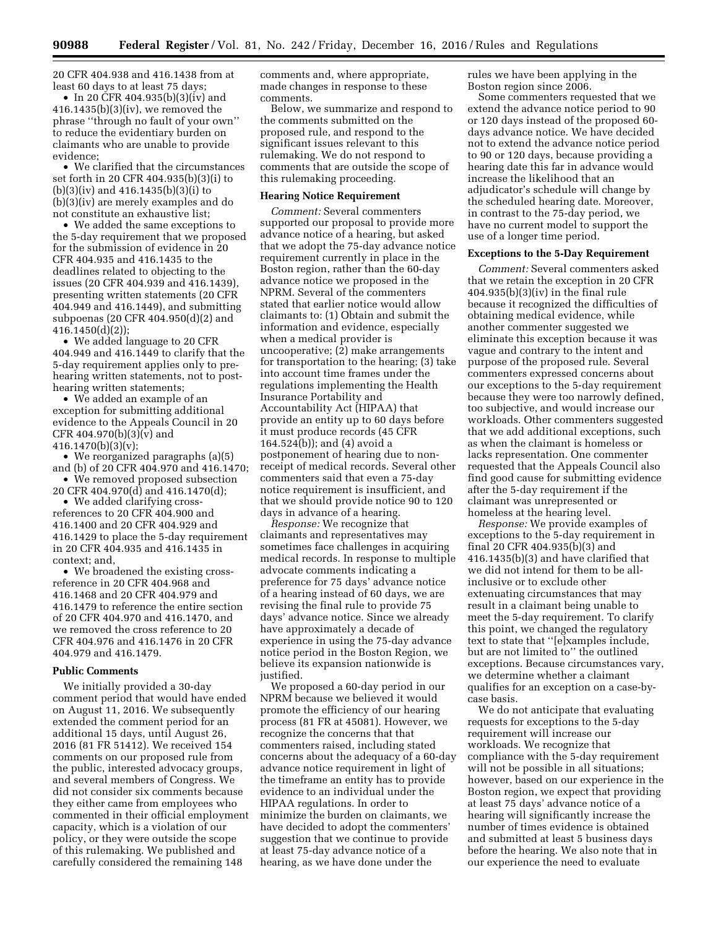20 CFR 404.938 and 416.1438 from at least 60 days to at least 75 days;

• In 20 CFR 404.935(b)(3)(iv) and 416.1435(b)(3)(iv), we removed the phrase ''through no fault of your own'' to reduce the evidentiary burden on claimants who are unable to provide evidence;

• We clarified that the circumstances set forth in 20 CFR 404.935(b)(3)(i) to (b)(3)(iv) and 416.1435(b)(3)(i) to (b)(3)(iv) are merely examples and do not constitute an exhaustive list;

• We added the same exceptions to the 5-day requirement that we proposed for the submission of evidence in 20 CFR 404.935 and 416.1435 to the deadlines related to objecting to the issues (20 CFR 404.939 and 416.1439), presenting written statements (20 CFR 404.949 and 416.1449), and submitting subpoenas (20 CFR 404.950(d)(2) and 416.1450(d)(2));

• We added language to 20 CFR 404.949 and 416.1449 to clarify that the 5-day requirement applies only to prehearing written statements, not to posthearing written statements;

• We added an example of an exception for submitting additional evidence to the Appeals Council in 20 CFR 404.970(b)(3)(v) and  $416.1470(b)(3)(v);$ 

• We reorganized paragraphs (a)(5) and (b) of 20 CFR 404.970 and 416.1470;

• We removed proposed subsection 20 CFR 404.970(d) and 416.1470(d);

• We added clarifying crossreferences to 20 CFR 404.900 and 416.1400 and 20 CFR 404.929 and 416.1429 to place the 5-day requirement in 20 CFR 404.935 and 416.1435 in context; and,

• We broadened the existing crossreference in 20 CFR 404.968 and 416.1468 and 20 CFR 404.979 and 416.1479 to reference the entire section of 20 CFR 404.970 and 416.1470, and we removed the cross reference to 20 CFR 404.976 and 416.1476 in 20 CFR 404.979 and 416.1479.

#### **Public Comments**

We initially provided a 30-day comment period that would have ended on August 11, 2016. We subsequently extended the comment period for an additional 15 days, until August 26, 2016 (81 FR 51412). We received 154 comments on our proposed rule from the public, interested advocacy groups, and several members of Congress. We did not consider six comments because they either came from employees who commented in their official employment capacity, which is a violation of our policy, or they were outside the scope of this rulemaking. We published and carefully considered the remaining 148

comments and, where appropriate, made changes in response to these comments.

Below, we summarize and respond to the comments submitted on the proposed rule, and respond to the significant issues relevant to this rulemaking. We do not respond to comments that are outside the scope of this rulemaking proceeding.

#### **Hearing Notice Requirement**

*Comment:* Several commenters supported our proposal to provide more advance notice of a hearing, but asked that we adopt the 75-day advance notice requirement currently in place in the Boston region, rather than the 60-day advance notice we proposed in the NPRM. Several of the commenters stated that earlier notice would allow claimants to: (1) Obtain and submit the information and evidence, especially when a medical provider is uncooperative; (2) make arrangements for transportation to the hearing; (3) take into account time frames under the regulations implementing the Health Insurance Portability and Accountability Act (HIPAA) that provide an entity up to 60 days before it must produce records (45 CFR  $164.524(b)$ ; and (4) avoid a postponement of hearing due to nonreceipt of medical records. Several other commenters said that even a 75-day notice requirement is insufficient, and that we should provide notice 90 to 120 days in advance of a hearing.

*Response:* We recognize that claimants and representatives may sometimes face challenges in acquiring medical records. In response to multiple advocate comments indicating a preference for 75 days' advance notice of a hearing instead of 60 days, we are revising the final rule to provide 75 days' advance notice. Since we already have approximately a decade of experience in using the 75-day advance notice period in the Boston Region, we believe its expansion nationwide is justified.

We proposed a 60-day period in our NPRM because we believed it would promote the efficiency of our hearing process (81 FR at 45081). However, we recognize the concerns that that commenters raised, including stated concerns about the adequacy of a 60-day advance notice requirement in light of the timeframe an entity has to provide evidence to an individual under the HIPAA regulations. In order to minimize the burden on claimants, we have decided to adopt the commenters' suggestion that we continue to provide at least 75-day advance notice of a hearing, as we have done under the

rules we have been applying in the Boston region since 2006.

Some commenters requested that we extend the advance notice period to 90 or 120 days instead of the proposed 60 days advance notice. We have decided not to extend the advance notice period to 90 or 120 days, because providing a hearing date this far in advance would increase the likelihood that an adjudicator's schedule will change by the scheduled hearing date. Moreover, in contrast to the 75-day period, we have no current model to support the use of a longer time period.

# **Exceptions to the 5-Day Requirement**

*Comment:* Several commenters asked that we retain the exception in 20 CFR 404.935(b)(3)(iv) in the final rule because it recognized the difficulties of obtaining medical evidence, while another commenter suggested we eliminate this exception because it was vague and contrary to the intent and purpose of the proposed rule. Several commenters expressed concerns about our exceptions to the 5-day requirement because they were too narrowly defined, too subjective, and would increase our workloads. Other commenters suggested that we add additional exceptions, such as when the claimant is homeless or lacks representation. One commenter requested that the Appeals Council also find good cause for submitting evidence after the 5-day requirement if the claimant was unrepresented or homeless at the hearing level.

*Response:* We provide examples of exceptions to the 5-day requirement in final 20 CFR 404.935(b)(3) and 416.1435(b)(3) and have clarified that we did not intend for them to be allinclusive or to exclude other extenuating circumstances that may result in a claimant being unable to meet the 5-day requirement. To clarify this point, we changed the regulatory text to state that ''[e]xamples include, but are not limited to'' the outlined exceptions. Because circumstances vary, we determine whether a claimant qualifies for an exception on a case-bycase basis.

We do not anticipate that evaluating requests for exceptions to the 5-day requirement will increase our workloads. We recognize that compliance with the 5-day requirement will not be possible in all situations; however, based on our experience in the Boston region, we expect that providing at least 75 days' advance notice of a hearing will significantly increase the number of times evidence is obtained and submitted at least 5 business days before the hearing. We also note that in our experience the need to evaluate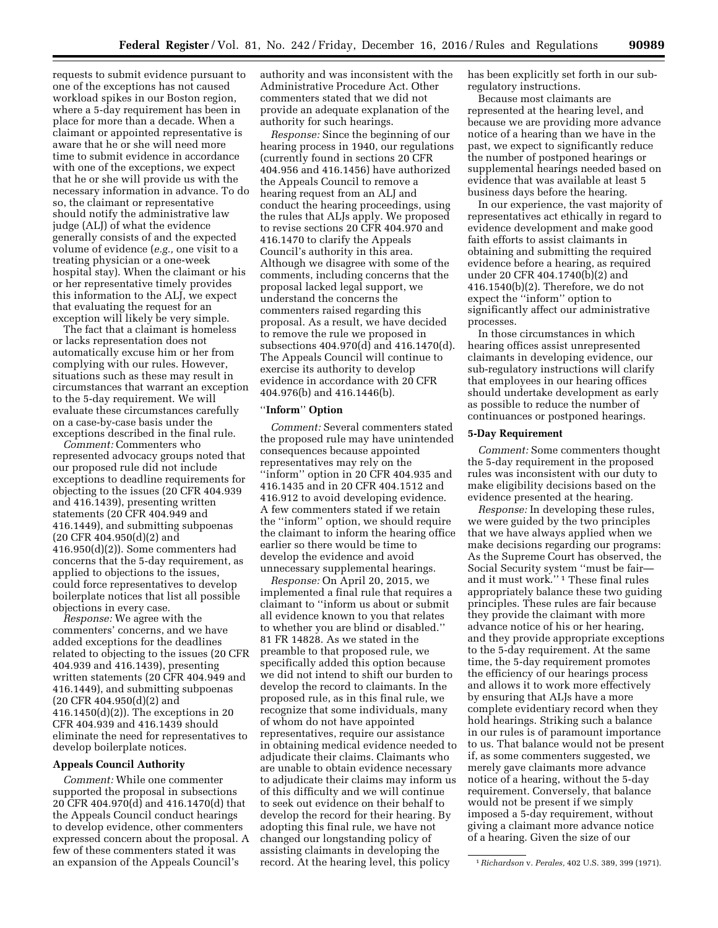requests to submit evidence pursuant to one of the exceptions has not caused workload spikes in our Boston region, where a 5-day requirement has been in place for more than a decade. When a claimant or appointed representative is aware that he or she will need more time to submit evidence in accordance with one of the exceptions, we expect that he or she will provide us with the necessary information in advance. To do so, the claimant or representative should notify the administrative law judge (ALJ) of what the evidence generally consists of and the expected volume of evidence (*e.g.,* one visit to a treating physician or a one-week hospital stay). When the claimant or his or her representative timely provides this information to the ALJ, we expect that evaluating the request for an exception will likely be very simple.

The fact that a claimant is homeless or lacks representation does not automatically excuse him or her from complying with our rules. However, situations such as these may result in circumstances that warrant an exception to the 5-day requirement. We will evaluate these circumstances carefully on a case-by-case basis under the exceptions described in the final rule.

*Comment:* Commenters who represented advocacy groups noted that our proposed rule did not include exceptions to deadline requirements for objecting to the issues (20 CFR 404.939 and 416.1439), presenting written statements (20 CFR 404.949 and 416.1449), and submitting subpoenas  $(20 \text{ CFR } 404.950 \text{ (d)}(2) \text{ and}$ 416.950(d)(2)). Some commenters had concerns that the 5-day requirement, as applied to objections to the issues, could force representatives to develop boilerplate notices that list all possible objections in every case.

*Response:* We agree with the commenters' concerns, and we have added exceptions for the deadlines related to objecting to the issues (20 CFR 404.939 and 416.1439), presenting written statements (20 CFR 404.949 and 416.1449), and submitting subpoenas  $(20 \text{ CFR } 404.950 \text{ (d)}(2) \text{ and}$ 416.1450(d)(2)). The exceptions in 20 CFR 404.939 and 416.1439 should eliminate the need for representatives to develop boilerplate notices.

## **Appeals Council Authority**

*Comment:* While one commenter supported the proposal in subsections 20 CFR 404.970(d) and 416.1470(d) that the Appeals Council conduct hearings to develop evidence, other commenters expressed concern about the proposal. A few of these commenters stated it was an expansion of the Appeals Council's

authority and was inconsistent with the Administrative Procedure Act. Other commenters stated that we did not provide an adequate explanation of the authority for such hearings.

*Response:* Since the beginning of our hearing process in 1940, our regulations (currently found in sections 20 CFR 404.956 and 416.1456) have authorized the Appeals Council to remove a hearing request from an ALJ and conduct the hearing proceedings, using the rules that ALJs apply. We proposed to revise sections 20 CFR 404.970 and 416.1470 to clarify the Appeals Council's authority in this area. Although we disagree with some of the comments, including concerns that the proposal lacked legal support, we understand the concerns the commenters raised regarding this proposal. As a result, we have decided to remove the rule we proposed in subsections 404.970(d) and 416.1470(d). The Appeals Council will continue to exercise its authority to develop evidence in accordance with 20 CFR 404.976(b) and 416.1446(b).

#### ''**Inform**'' **Option**

*Comment:* Several commenters stated the proposed rule may have unintended consequences because appointed representatives may rely on the ''inform'' option in 20 CFR 404.935 and 416.1435 and in 20 CFR 404.1512 and 416.912 to avoid developing evidence. A few commenters stated if we retain the ''inform'' option, we should require the claimant to inform the hearing office earlier so there would be time to develop the evidence and avoid unnecessary supplemental hearings.

*Response:* On April 20, 2015, we implemented a final rule that requires a claimant to ''inform us about or submit all evidence known to you that relates to whether you are blind or disabled.'' 81 FR 14828. As we stated in the preamble to that proposed rule, we specifically added this option because we did not intend to shift our burden to develop the record to claimants. In the proposed rule, as in this final rule, we recognize that some individuals, many of whom do not have appointed representatives, require our assistance in obtaining medical evidence needed to adjudicate their claims. Claimants who are unable to obtain evidence necessary to adjudicate their claims may inform us of this difficulty and we will continue to seek out evidence on their behalf to develop the record for their hearing. By adopting this final rule, we have not changed our longstanding policy of assisting claimants in developing the record. At the hearing level, this policy

has been explicitly set forth in our subregulatory instructions.

Because most claimants are represented at the hearing level, and because we are providing more advance notice of a hearing than we have in the past, we expect to significantly reduce the number of postponed hearings or supplemental hearings needed based on evidence that was available at least 5 business days before the hearing.

In our experience, the vast majority of representatives act ethically in regard to evidence development and make good faith efforts to assist claimants in obtaining and submitting the required evidence before a hearing, as required under 20 CFR 404.1740(b)(2) and 416.1540(b)(2). Therefore, we do not expect the ''inform'' option to significantly affect our administrative processes.

In those circumstances in which hearing offices assist unrepresented claimants in developing evidence, our sub-regulatory instructions will clarify that employees in our hearing offices should undertake development as early as possible to reduce the number of continuances or postponed hearings.

## **5-Day Requirement**

*Comment:* Some commenters thought the 5-day requirement in the proposed rules was inconsistent with our duty to make eligibility decisions based on the evidence presented at the hearing.

*Response:* In developing these rules, we were guided by the two principles that we have always applied when we make decisions regarding our programs: As the Supreme Court has observed, the Social Security system ''must be fair and it must work.'' 1 These final rules appropriately balance these two guiding principles. These rules are fair because they provide the claimant with more advance notice of his or her hearing, and they provide appropriate exceptions to the 5-day requirement. At the same time, the 5-day requirement promotes the efficiency of our hearings process and allows it to work more effectively by ensuring that ALJs have a more complete evidentiary record when they hold hearings. Striking such a balance in our rules is of paramount importance to us. That balance would not be present if, as some commenters suggested, we merely gave claimants more advance notice of a hearing, without the 5-day requirement. Conversely, that balance would not be present if we simply imposed a 5-day requirement, without giving a claimant more advance notice of a hearing. Given the size of our

<sup>1</sup>*Richardson* v. *Perales,* 402 U.S. 389, 399 (1971).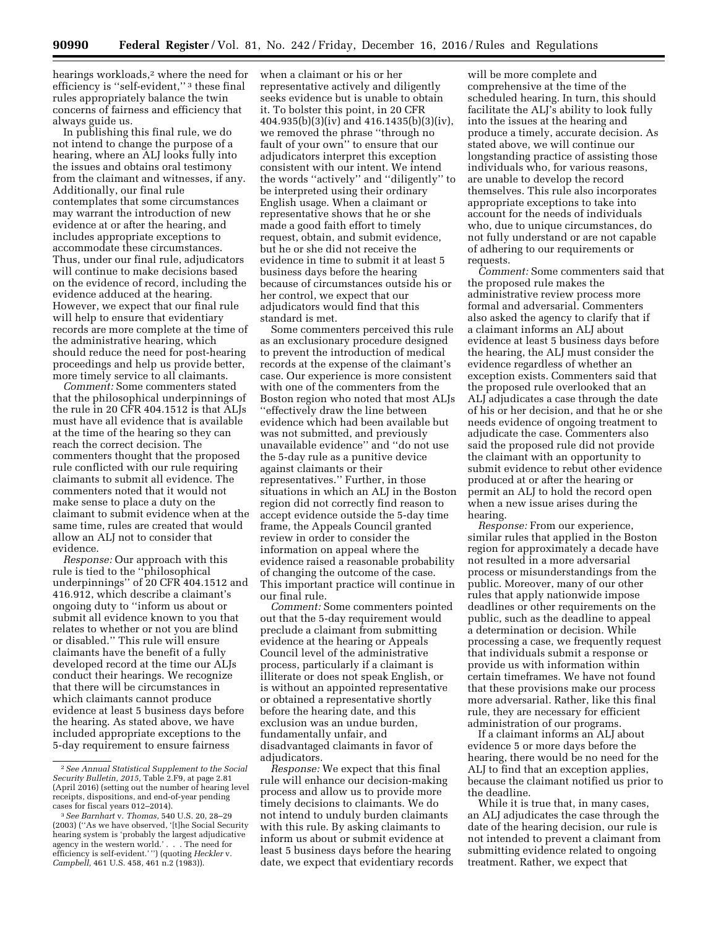hearings workloads,<sup>2</sup> where the need for efficiency is ''self-evident,'' 3 these final rules appropriately balance the twin concerns of fairness and efficiency that always guide us.

In publishing this final rule, we do not intend to change the purpose of a hearing, where an ALJ looks fully into the issues and obtains oral testimony from the claimant and witnesses, if any. Additionally, our final rule contemplates that some circumstances may warrant the introduction of new evidence at or after the hearing, and includes appropriate exceptions to accommodate these circumstances. Thus, under our final rule, adjudicators will continue to make decisions based on the evidence of record, including the evidence adduced at the hearing. However, we expect that our final rule will help to ensure that evidentiary records are more complete at the time of the administrative hearing, which should reduce the need for post-hearing proceedings and help us provide better, more timely service to all claimants.

*Comment:* Some commenters stated that the philosophical underpinnings of the rule in 20 CFR 404.1512 is that ALJs must have all evidence that is available at the time of the hearing so they can reach the correct decision. The commenters thought that the proposed rule conflicted with our rule requiring claimants to submit all evidence. The commenters noted that it would not make sense to place a duty on the claimant to submit evidence when at the same time, rules are created that would allow an ALJ not to consider that evidence.

*Response:* Our approach with this rule is tied to the ''philosophical underpinnings'' of 20 CFR 404.1512 and 416.912, which describe a claimant's ongoing duty to ''inform us about or submit all evidence known to you that relates to whether or not you are blind or disabled.'' This rule will ensure claimants have the benefit of a fully developed record at the time our ALJs conduct their hearings. We recognize that there will be circumstances in which claimants cannot produce evidence at least 5 business days before the hearing. As stated above, we have included appropriate exceptions to the 5-day requirement to ensure fairness

when a claimant or his or her representative actively and diligently seeks evidence but is unable to obtain it. To bolster this point, in 20 CFR 404.935(b)(3)(iv) and 416.1435(b)(3)(iv), we removed the phrase ''through no fault of your own'' to ensure that our adjudicators interpret this exception consistent with our intent. We intend the words ''actively'' and ''diligently'' to be interpreted using their ordinary English usage. When a claimant or representative shows that he or she made a good faith effort to timely request, obtain, and submit evidence, but he or she did not receive the evidence in time to submit it at least 5 business days before the hearing because of circumstances outside his or her control, we expect that our adjudicators would find that this standard is met.

Some commenters perceived this rule as an exclusionary procedure designed to prevent the introduction of medical records at the expense of the claimant's case. Our experience is more consistent with one of the commenters from the Boston region who noted that most ALJs ''effectively draw the line between evidence which had been available but was not submitted, and previously unavailable evidence'' and ''do not use the 5-day rule as a punitive device against claimants or their representatives.'' Further, in those situations in which an ALJ in the Boston region did not correctly find reason to accept evidence outside the 5-day time frame, the Appeals Council granted review in order to consider the information on appeal where the evidence raised a reasonable probability of changing the outcome of the case. This important practice will continue in our final rule.

*Comment:* Some commenters pointed out that the 5-day requirement would preclude a claimant from submitting evidence at the hearing or Appeals Council level of the administrative process, particularly if a claimant is illiterate or does not speak English, or is without an appointed representative or obtained a representative shortly before the hearing date, and this exclusion was an undue burden, fundamentally unfair, and disadvantaged claimants in favor of adjudicators.

*Response:* We expect that this final rule will enhance our decision-making process and allow us to provide more timely decisions to claimants. We do not intend to unduly burden claimants with this rule. By asking claimants to inform us about or submit evidence at least 5 business days before the hearing date, we expect that evidentiary records

will be more complete and comprehensive at the time of the scheduled hearing. In turn, this should facilitate the ALJ's ability to look fully into the issues at the hearing and produce a timely, accurate decision. As stated above, we will continue our longstanding practice of assisting those individuals who, for various reasons, are unable to develop the record themselves. This rule also incorporates appropriate exceptions to take into account for the needs of individuals who, due to unique circumstances, do not fully understand or are not capable of adhering to our requirements or requests.

*Comment:* Some commenters said that the proposed rule makes the administrative review process more formal and adversarial. Commenters also asked the agency to clarify that if a claimant informs an ALJ about evidence at least 5 business days before the hearing, the ALJ must consider the evidence regardless of whether an exception exists. Commenters said that the proposed rule overlooked that an ALJ adjudicates a case through the date of his or her decision, and that he or she needs evidence of ongoing treatment to adjudicate the case. Commenters also said the proposed rule did not provide the claimant with an opportunity to submit evidence to rebut other evidence produced at or after the hearing or permit an ALJ to hold the record open when a new issue arises during the hearing.

*Response:* From our experience, similar rules that applied in the Boston region for approximately a decade have not resulted in a more adversarial process or misunderstandings from the public. Moreover, many of our other rules that apply nationwide impose deadlines or other requirements on the public, such as the deadline to appeal a determination or decision. While processing a case, we frequently request that individuals submit a response or provide us with information within certain timeframes. We have not found that these provisions make our process more adversarial. Rather, like this final rule, they are necessary for efficient administration of our programs.

If a claimant informs an ALJ about evidence 5 or more days before the hearing, there would be no need for the ALJ to find that an exception applies, because the claimant notified us prior to the deadline.

While it is true that, in many cases, an ALJ adjudicates the case through the date of the hearing decision, our rule is not intended to prevent a claimant from submitting evidence related to ongoing treatment. Rather, we expect that

<sup>2</sup>*See Annual Statistical Supplement to the Social Security Bulletin, 2015,* Table 2.F9, at page 2.81 (April 2016) (setting out the number of hearing level receipts, dispositions, and end-of-year pending cases for fiscal years 012–2014).

<sup>3</sup>*See Barnhart* v. *Thomas,* 540 U.S. 20, 28–29 (2003) (''As we have observed, '[t]he Social Security hearing system is 'probably the largest adjudicative agency in the western world.' . . . The need for efficiency is self-evident.' '') (quoting *Heckler* v. *Campbell,* 461 U.S. 458, 461 n.2 (1983)).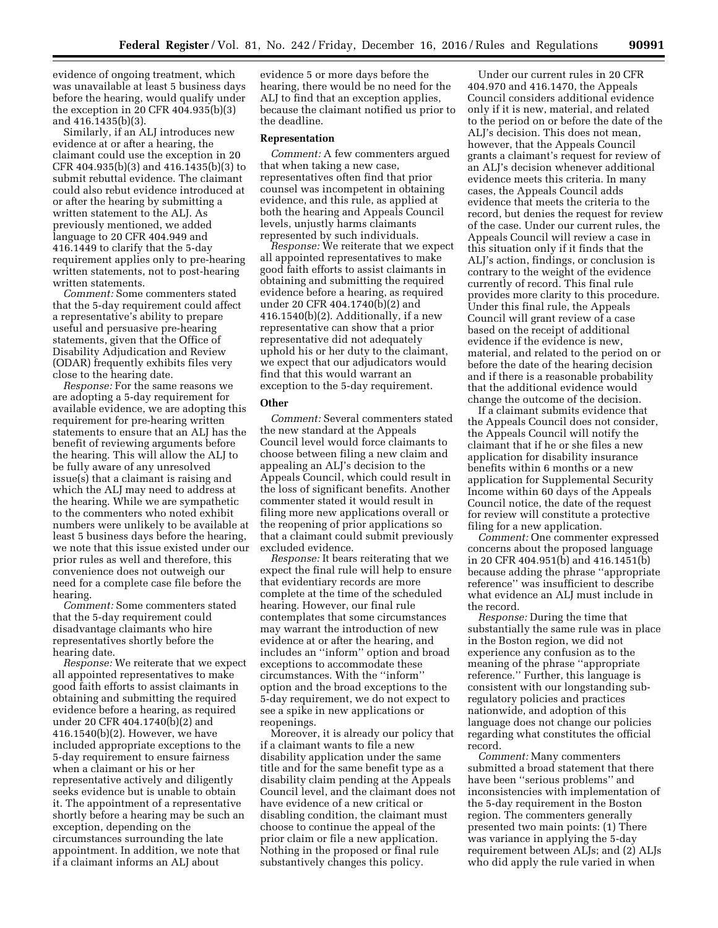evidence of ongoing treatment, which was unavailable at least 5 business days before the hearing, would qualify under the exception in 20 CFR 404.935(b)(3) and 416.1435(b)(3).

Similarly, if an ALJ introduces new evidence at or after a hearing, the claimant could use the exception in 20 CFR 404.935(b)(3) and 416.1435(b)(3) to submit rebuttal evidence. The claimant could also rebut evidence introduced at or after the hearing by submitting a written statement to the ALJ. As previously mentioned, we added language to 20 CFR 404.949 and 416.1449 to clarify that the 5-day requirement applies only to pre-hearing written statements, not to post-hearing written statements.

*Comment:* Some commenters stated that the 5-day requirement could affect a representative's ability to prepare useful and persuasive pre-hearing statements, given that the Office of Disability Adjudication and Review (ODAR) frequently exhibits files very close to the hearing date.

*Response:* For the same reasons we are adopting a 5-day requirement for available evidence, we are adopting this requirement for pre-hearing written statements to ensure that an ALJ has the benefit of reviewing arguments before the hearing. This will allow the ALJ to be fully aware of any unresolved issue(s) that a claimant is raising and which the ALJ may need to address at the hearing. While we are sympathetic to the commenters who noted exhibit numbers were unlikely to be available at least 5 business days before the hearing, we note that this issue existed under our prior rules as well and therefore, this convenience does not outweigh our need for a complete case file before the hearing.

*Comment:* Some commenters stated that the 5-day requirement could disadvantage claimants who hire representatives shortly before the hearing date.

*Response:* We reiterate that we expect all appointed representatives to make good faith efforts to assist claimants in obtaining and submitting the required evidence before a hearing, as required under 20 CFR 404.1740(b)(2) and 416.1540(b)(2). However, we have included appropriate exceptions to the 5-day requirement to ensure fairness when a claimant or his or her representative actively and diligently seeks evidence but is unable to obtain it. The appointment of a representative shortly before a hearing may be such an exception, depending on the circumstances surrounding the late appointment. In addition, we note that if a claimant informs an ALJ about

evidence 5 or more days before the hearing, there would be no need for the ALJ to find that an exception applies, because the claimant notified us prior to the deadline.

### **Representation**

*Comment:* A few commenters argued that when taking a new case, representatives often find that prior counsel was incompetent in obtaining evidence, and this rule, as applied at both the hearing and Appeals Council levels, unjustly harms claimants represented by such individuals.

*Response:* We reiterate that we expect all appointed representatives to make good faith efforts to assist claimants in obtaining and submitting the required evidence before a hearing, as required under 20 CFR 404.1740(b)(2) and 416.1540(b)(2). Additionally, if a new representative can show that a prior representative did not adequately uphold his or her duty to the claimant, we expect that our adjudicators would find that this would warrant an exception to the 5-day requirement.

#### **Other**

*Comment:* Several commenters stated the new standard at the Appeals Council level would force claimants to choose between filing a new claim and appealing an ALJ's decision to the Appeals Council, which could result in the loss of significant benefits. Another commenter stated it would result in filing more new applications overall or the reopening of prior applications so that a claimant could submit previously excluded evidence.

*Response:* It bears reiterating that we expect the final rule will help to ensure that evidentiary records are more complete at the time of the scheduled hearing. However, our final rule contemplates that some circumstances may warrant the introduction of new evidence at or after the hearing, and includes an ''inform'' option and broad exceptions to accommodate these circumstances. With the ''inform'' option and the broad exceptions to the 5-day requirement, we do not expect to see a spike in new applications or reopenings.

Moreover, it is already our policy that if a claimant wants to file a new disability application under the same title and for the same benefit type as a disability claim pending at the Appeals Council level, and the claimant does not have evidence of a new critical or disabling condition, the claimant must choose to continue the appeal of the prior claim or file a new application. Nothing in the proposed or final rule substantively changes this policy.

Under our current rules in 20 CFR 404.970 and 416.1470, the Appeals Council considers additional evidence only if it is new, material, and related to the period on or before the date of the ALJ's decision. This does not mean, however, that the Appeals Council grants a claimant's request for review of an ALJ's decision whenever additional evidence meets this criteria. In many cases, the Appeals Council adds evidence that meets the criteria to the record, but denies the request for review of the case. Under our current rules, the Appeals Council will review a case in this situation only if it finds that the ALJ's action, findings, or conclusion is contrary to the weight of the evidence currently of record. This final rule provides more clarity to this procedure. Under this final rule, the Appeals Council will grant review of a case based on the receipt of additional evidence if the evidence is new, material, and related to the period on or before the date of the hearing decision and if there is a reasonable probability that the additional evidence would change the outcome of the decision.

If a claimant submits evidence that the Appeals Council does not consider, the Appeals Council will notify the claimant that if he or she files a new application for disability insurance benefits within 6 months or a new application for Supplemental Security Income within 60 days of the Appeals Council notice, the date of the request for review will constitute a protective filing for a new application.

*Comment:* One commenter expressed concerns about the proposed language in 20 CFR 404.951(b) and 416.1451(b) because adding the phrase ''appropriate reference'' was insufficient to describe what evidence an ALJ must include in the record.

*Response:* During the time that substantially the same rule was in place in the Boston region, we did not experience any confusion as to the meaning of the phrase ''appropriate reference.'' Further, this language is consistent with our longstanding subregulatory policies and practices nationwide, and adoption of this language does not change our policies regarding what constitutes the official record.

*Comment:* Many commenters submitted a broad statement that there have been ''serious problems'' and inconsistencies with implementation of the 5-day requirement in the Boston region. The commenters generally presented two main points: (1) There was variance in applying the 5-day requirement between ALJs; and (2) ALJs who did apply the rule varied in when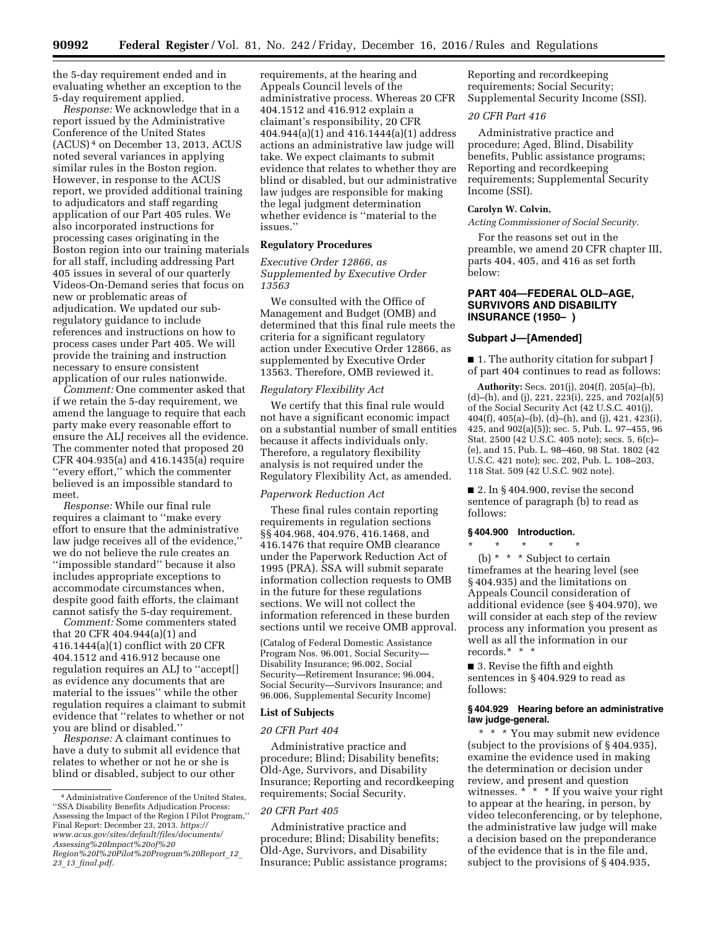the 5-day requirement ended and in evaluating whether an exception to the 5-day requirement applied.

*Response:* We acknowledge that in a report issued by the Administrative Conference of the United States (ACUS) 4 on December 13, 2013, ACUS noted several variances in applying similar rules in the Boston region. However, in response to the ACUS report, we provided additional training to adjudicators and staff regarding application of our Part 405 rules. We also incorporated instructions for processing cases originating in the Boston region into our training materials for all staff, including addressing Part 405 issues in several of our quarterly Videos-On-Demand series that focus on new or problematic areas of adjudication. We updated our subregulatory guidance to include references and instructions on how to process cases under Part 405. We will provide the training and instruction necessary to ensure consistent application of our rules nationwide.

*Comment:* One commenter asked that if we retain the 5-day requirement, we amend the language to require that each party make every reasonable effort to ensure the ALJ receives all the evidence. The commenter noted that proposed 20 CFR 404.935(a) and 416.1435(a) require ''every effort,'' which the commenter believed is an impossible standard to meet.

*Response:* While our final rule requires a claimant to ''make every effort to ensure that the administrative law judge receives all of the evidence,'' we do not believe the rule creates an ''impossible standard'' because it also includes appropriate exceptions to accommodate circumstances when, despite good faith efforts, the claimant cannot satisfy the 5-day requirement.

*Comment:* Some commenters stated that 20 CFR 404.944(a)(1) and 416.1444(a)(1) conflict with 20 CFR 404.1512 and 416.912 because one regulation requires an ALJ to ''accept[] as evidence any documents that are material to the issues'' while the other regulation requires a claimant to submit evidence that ''relates to whether or not you are blind or disabled.''

*Response:* A claimant continues to have a duty to submit all evidence that relates to whether or not he or she is blind or disabled, subject to our other

requirements, at the hearing and Appeals Council levels of the administrative process. Whereas 20 CFR 404.1512 and 416.912 explain a claimant's responsibility, 20 CFR 404.944(a)(1) and 416.1444(a)(1) address actions an administrative law judge will take. We expect claimants to submit evidence that relates to whether they are blind or disabled, but our administrative law judges are responsible for making the legal judgment determination whether evidence is ''material to the issues.''

## **Regulatory Procedures**

## *Executive Order 12866, as Supplemented by Executive Order 13563*

We consulted with the Office of Management and Budget (OMB) and determined that this final rule meets the criteria for a significant regulatory action under Executive Order 12866, as supplemented by Executive Order 13563. Therefore, OMB reviewed it.

## *Regulatory Flexibility Act*

We certify that this final rule would not have a significant economic impact on a substantial number of small entities because it affects individuals only. Therefore, a regulatory flexibility analysis is not required under the Regulatory Flexibility Act, as amended.

## *Paperwork Reduction Act*

These final rules contain reporting requirements in regulation sections §§ 404.968, 404.976, 416.1468, and 416.1476 that require OMB clearance under the Paperwork Reduction Act of 1995 (PRA). SSA will submit separate information collection requests to OMB in the future for these regulations sections. We will not collect the information referenced in these burden sections until we receive OMB approval.

(Catalog of Federal Domestic Assistance Program Nos. 96.001, Social Security— Disability Insurance; 96.002, Social Security—Retirement Insurance; 96.004, Social Security—Survivors Insurance; and 96.006, Supplemental Security Income)

## **List of Subjects**

## *20 CFR Part 404*

Administrative practice and procedure; Blind; Disability benefits; Old-Age, Survivors, and Disability Insurance; Reporting and recordkeeping requirements; Social Security.

#### *20 CFR Part 405*

Administrative practice and procedure; Blind; Disability benefits; Old-Age, Survivors, and Disability Insurance; Public assistance programs; Reporting and recordkeeping requirements; Social Security; Supplemental Security Income (SSI).

#### *20 CFR Part 416*

Administrative practice and procedure; Aged, Blind, Disability benefits, Public assistance programs; Reporting and recordkeeping requirements; Supplemental Security Income (SSI).

#### **Carolyn W. Colvin,**

*Acting Commissioner of Social Security.* 

For the reasons set out in the preamble, we amend 20 CFR chapter III, parts 404, 405, and 416 as set forth below:

## **PART 404—FEDERAL OLD–AGE, SURVIVORS AND DISABILITY INSURANCE (1950– )**

#### **Subpart J—[Amended]**

■ 1. The authority citation for subpart J of part 404 continues to read as follows:

**Authority:** Secs. 201(j), 204(f), 205(a)–(b), (d)–(h), and (j), 221, 223(i), 225, and 702(a)(5) of the Social Security Act (42 U.S.C. 401(j), 404(f), 405(a)–(b), (d)–(h), and (j), 421, 423(i), 425, and 902(a)(5)); sec. 5, Pub. L. 97–455, 96 Stat. 2500 (42 U.S.C. 405 note); secs. 5, 6(c)– (e), and 15, Pub. L. 98–460, 98 Stat. 1802 (42 U.S.C. 421 note); sec. 202, Pub. L. 108–203, 118 Stat. 509 (42 U.S.C. 902 note).

■ 2. In § 404.900, revise the second sentence of paragraph (b) to read as follows:

## **§ 404.900 Introduction.**

\* \* \* \* \* (b) \* \* \* Subject to certain timeframes at the hearing level (see § 404.935) and the limitations on Appeals Council consideration of additional evidence (see § 404.970), we will consider at each step of the review process any information you present as well as all the information in our records.\* \* \*

■ 3. Revise the fifth and eighth sentences in § 404.929 to read as follows:

#### **§ 404.929 Hearing before an administrative law judge-general.**

\* \* \* You may submit new evidence (subject to the provisions of § 404.935), examine the evidence used in making the determination or decision under review, and present and question witnesses. \* <sup>\*</sup> \* If you waive your right to appear at the hearing, in person, by video teleconferencing, or by telephone, the administrative law judge will make a decision based on the preponderance of the evidence that is in the file and, subject to the provisions of § 404.935,

<sup>4</sup>Administrative Conference of the United States, ''SSA Disability Benefits Adjudication Process: Assessing the Impact of the Region I Pilot Program,'' Final Report: December 23, 2013. *[https://](https://www.acus.gov/sites/default/files/documents/Assessing%20Impact%20of%20Region%20I%20Pilot%20Program%20Report_12_23_13_final.pdf) [www.acus.gov/sites/default/files/documents/](https://www.acus.gov/sites/default/files/documents/Assessing%20Impact%20of%20Region%20I%20Pilot%20Program%20Report_12_23_13_final.pdf) [Assessing%20Impact%20of%20](https://www.acus.gov/sites/default/files/documents/Assessing%20Impact%20of%20Region%20I%20Pilot%20Program%20Report_12_23_13_final.pdf) [Region%20I%20Pilot%20Program%20Report](https://www.acus.gov/sites/default/files/documents/Assessing%20Impact%20of%20Region%20I%20Pilot%20Program%20Report_12_23_13_final.pdf)*\_*12*\_

*<sup>23</sup>*\_*13*\_*[final.pdf.](https://www.acus.gov/sites/default/files/documents/Assessing%20Impact%20of%20Region%20I%20Pilot%20Program%20Report_12_23_13_final.pdf)*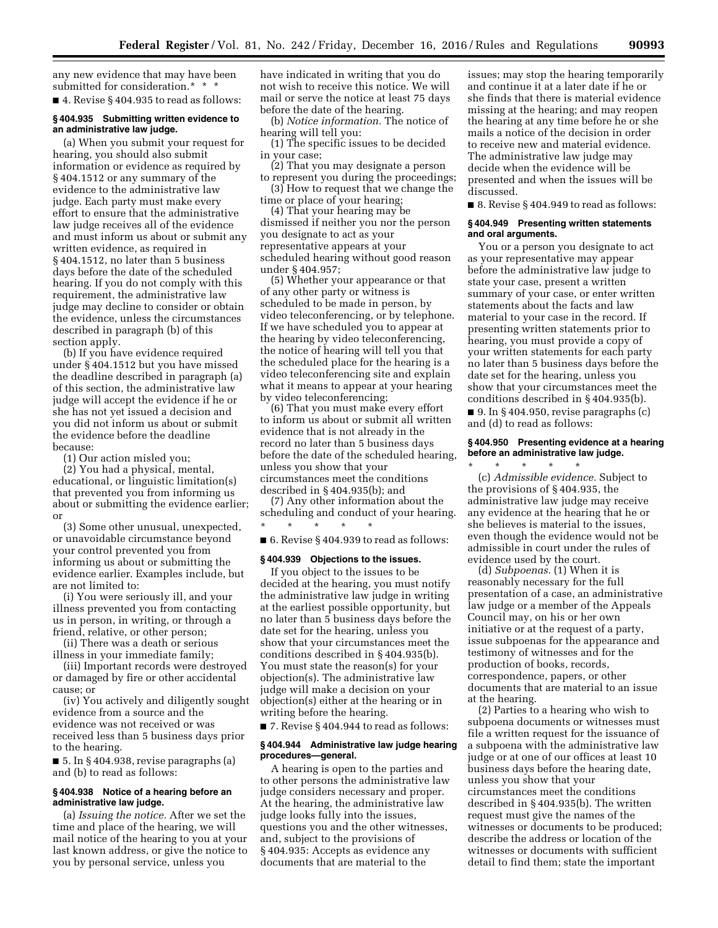any new evidence that may have been submitted for consideration.\* \* \* ■ 4. Revise § 404.935 to read as follows:

## **§ 404.935 Submitting written evidence to an administrative law judge.**

(a) When you submit your request for hearing, you should also submit information or evidence as required by § 404.1512 or any summary of the evidence to the administrative law judge. Each party must make every effort to ensure that the administrative law judge receives all of the evidence and must inform us about or submit any written evidence, as required in § 404.1512, no later than 5 business days before the date of the scheduled hearing. If you do not comply with this requirement, the administrative law judge may decline to consider or obtain the evidence, unless the circumstances described in paragraph (b) of this section apply.

(b) If you have evidence required under § 404.1512 but you have missed the deadline described in paragraph (a) of this section, the administrative law judge will accept the evidence if he or she has not yet issued a decision and you did not inform us about or submit the evidence before the deadline because:

(1) Our action misled you;

(2) You had a physical, mental, educational, or linguistic limitation(s) that prevented you from informing us about or submitting the evidence earlier; or

(3) Some other unusual, unexpected, or unavoidable circumstance beyond your control prevented you from informing us about or submitting the evidence earlier. Examples include, but are not limited to:

(i) You were seriously ill, and your illness prevented you from contacting us in person, in writing, or through a friend, relative, or other person;

(ii) There was a death or serious illness in your immediate family;

(iii) Important records were destroyed or damaged by fire or other accidental cause; or

(iv) You actively and diligently sought evidence from a source and the evidence was not received or was received less than 5 business days prior to the hearing.

■ 5. In § 404.938, revise paragraphs (a) and (b) to read as follows:

#### **§ 404.938 Notice of a hearing before an administrative law judge.**

(a) *Issuing the notice.* After we set the time and place of the hearing, we will mail notice of the hearing to you at your last known address, or give the notice to you by personal service, unless you

have indicated in writing that you do not wish to receive this notice. We will mail or serve the notice at least 75 days before the date of the hearing.

(b) *Notice information.* The notice of hearing will tell you:

(1) The specific issues to be decided in your case;

(2) That you may designate a person to represent you during the proceedings;

(3) How to request that we change the time or place of your hearing;

(4) That your hearing may be dismissed if neither you nor the person you designate to act as your representative appears at your scheduled hearing without good reason under § 404.957;

(5) Whether your appearance or that of any other party or witness is scheduled to be made in person, by video teleconferencing, or by telephone. If we have scheduled you to appear at the hearing by video teleconferencing, the notice of hearing will tell you that the scheduled place for the hearing is a video teleconferencing site and explain what it means to appear at your hearing by video teleconferencing;

(6) That you must make every effort to inform us about or submit all written evidence that is not already in the record no later than 5 business days before the date of the scheduled hearing, unless you show that your circumstances meet the conditions described in § 404.935(b); and

(7) Any other information about the scheduling and conduct of your hearing. \* \* \* \* \*

■ 6. Revise § 404.939 to read as follows:

## **§ 404.939 Objections to the issues.**

If you object to the issues to be decided at the hearing, you must notify the administrative law judge in writing at the earliest possible opportunity, but no later than 5 business days before the date set for the hearing, unless you show that your circumstances meet the conditions described in § 404.935(b). You must state the reason(s) for your objection(s). The administrative law judge will make a decision on your objection(s) either at the hearing or in writing before the hearing.

■ 7. Revise § 404.944 to read as follows:

#### **§ 404.944 Administrative law judge hearing procedures—general.**

A hearing is open to the parties and to other persons the administrative law judge considers necessary and proper. At the hearing, the administrative law judge looks fully into the issues, questions you and the other witnesses, and, subject to the provisions of § 404.935: Accepts as evidence any documents that are material to the

issues; may stop the hearing temporarily and continue it at a later date if he or she finds that there is material evidence missing at the hearing; and may reopen the hearing at any time before he or she mails a notice of the decision in order to receive new and material evidence. The administrative law judge may decide when the evidence will be presented and when the issues will be discussed.

■ 8. Revise § 404.949 to read as follows:

#### **§ 404.949 Presenting written statements and oral arguments.**

You or a person you designate to act as your representative may appear before the administrative law judge to state your case, present a written summary of your case, or enter written statements about the facts and law material to your case in the record. If presenting written statements prior to hearing, you must provide a copy of your written statements for each party no later than 5 business days before the date set for the hearing, unless you show that your circumstances meet the conditions described in § 404.935(b).

 $\blacksquare$  9. In § 404.950, revise paragraphs (c) and (d) to read as follows:

#### **§ 404.950 Presenting evidence at a hearing before an administrative law judge.**  \* \* \* \* \*

(c) *Admissible evidence.* Subject to the provisions of § 404.935, the administrative law judge may receive any evidence at the hearing that he or she believes is material to the issues, even though the evidence would not be admissible in court under the rules of evidence used by the court.

(d) *Subpoenas.* (1) When it is reasonably necessary for the full presentation of a case, an administrative law judge or a member of the Appeals Council may, on his or her own initiative or at the request of a party, issue subpoenas for the appearance and testimony of witnesses and for the production of books, records, correspondence, papers, or other documents that are material to an issue at the hearing.

(2) Parties to a hearing who wish to subpoena documents or witnesses must file a written request for the issuance of a subpoena with the administrative law judge or at one of our offices at least 10 business days before the hearing date, unless you show that your circumstances meet the conditions described in § 404.935(b). The written request must give the names of the witnesses or documents to be produced; describe the address or location of the witnesses or documents with sufficient detail to find them; state the important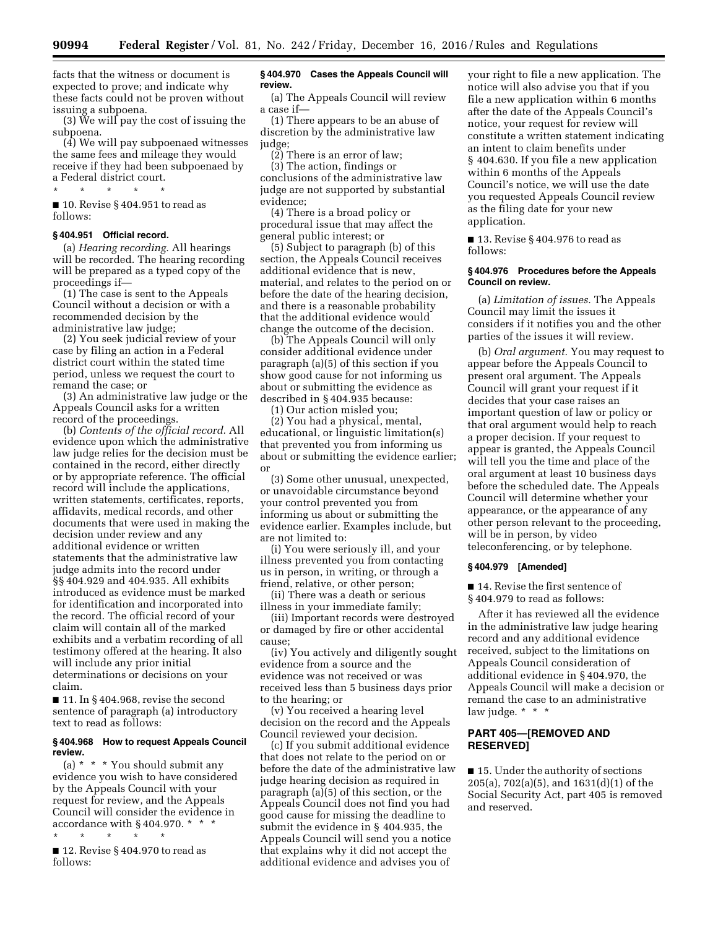facts that the witness or document is expected to prove; and indicate why these facts could not be proven without issuing a subpoena.

(3) We will pay the cost of issuing the subpoena.

(4) We will pay subpoenaed witnesses the same fees and mileage they would receive if they had been subpoenaed by a Federal district court.

\* \* \* \* \*

■ 10. Revise § 404.951 to read as follows:

## **§ 404.951 Official record.**

(a) *Hearing recording.* All hearings will be recorded. The hearing recording will be prepared as a typed copy of the proceedings if—

(1) The case is sent to the Appeals Council without a decision or with a recommended decision by the administrative law judge;

(2) You seek judicial review of your case by filing an action in a Federal district court within the stated time period, unless we request the court to remand the case; or

(3) An administrative law judge or the Appeals Council asks for a written record of the proceedings.

(b) *Contents of the official record.* All evidence upon which the administrative law judge relies for the decision must be contained in the record, either directly or by appropriate reference. The official record will include the applications, written statements, certificates, reports, affidavits, medical records, and other documents that were used in making the decision under review and any additional evidence or written statements that the administrative law judge admits into the record under §§ 404.929 and 404.935. All exhibits introduced as evidence must be marked for identification and incorporated into the record. The official record of your claim will contain all of the marked exhibits and a verbatim recording of all testimony offered at the hearing. It also will include any prior initial determinations or decisions on your claim.

 $\blacksquare$  11. In § 404.968, revise the second sentence of paragraph (a) introductory text to read as follows:

## **§ 404.968 How to request Appeals Council review.**

(a) \* \* \* You should submit any evidence you wish to have considered by the Appeals Council with your request for review, and the Appeals Council will consider the evidence in accordance with § 404.970. \* \* \*

■ 12. Revise § 404.970 to read as follows:

\* \* \* \* \*

#### **§ 404.970 Cases the Appeals Council will review.**

(a) The Appeals Council will review a case if—

(1) There appears to be an abuse of discretion by the administrative law judge;

(2) There is an error of law;

(3) The action, findings or conclusions of the administrative law judge are not supported by substantial evidence;

(4) There is a broad policy or procedural issue that may affect the general public interest; or

(5) Subject to paragraph (b) of this section, the Appeals Council receives additional evidence that is new, material, and relates to the period on or before the date of the hearing decision, and there is a reasonable probability that the additional evidence would change the outcome of the decision.

(b) The Appeals Council will only consider additional evidence under paragraph (a)(5) of this section if you show good cause for not informing us about or submitting the evidence as described in § 404.935 because:

(1) Our action misled you;

(2) You had a physical, mental, educational, or linguistic limitation(s) that prevented you from informing us about or submitting the evidence earlier; or

(3) Some other unusual, unexpected, or unavoidable circumstance beyond your control prevented you from informing us about or submitting the evidence earlier. Examples include, but are not limited to:

(i) You were seriously ill, and your illness prevented you from contacting us in person, in writing, or through a friend, relative, or other person;

(ii) There was a death or serious illness in your immediate family;

(iii) Important records were destroyed or damaged by fire or other accidental cause;

(iv) You actively and diligently sought evidence from a source and the evidence was not received or was received less than 5 business days prior to the hearing; or

(v) You received a hearing level decision on the record and the Appeals Council reviewed your decision.

(c) If you submit additional evidence that does not relate to the period on or before the date of the administrative law judge hearing decision as required in paragraph (a)(5) of this section, or the Appeals Council does not find you had good cause for missing the deadline to submit the evidence in § 404.935, the Appeals Council will send you a notice that explains why it did not accept the additional evidence and advises you of

your right to file a new application. The notice will also advise you that if you file a new application within 6 months after the date of the Appeals Council's notice, your request for review will constitute a written statement indicating an intent to claim benefits under § 404.630. If you file a new application within 6 months of the Appeals Council's notice, we will use the date you requested Appeals Council review as the filing date for your new application.

■ 13. Revise § 404.976 to read as follows:

## **§ 404.976 Procedures before the Appeals Council on review.**

(a) *Limitation of issues.* The Appeals Council may limit the issues it considers if it notifies you and the other parties of the issues it will review.

(b) *Oral argument.* You may request to appear before the Appeals Council to present oral argument. The Appeals Council will grant your request if it decides that your case raises an important question of law or policy or that oral argument would help to reach a proper decision. If your request to appear is granted, the Appeals Council will tell you the time and place of the oral argument at least 10 business days before the scheduled date. The Appeals Council will determine whether your appearance, or the appearance of any other person relevant to the proceeding, will be in person, by video teleconferencing, or by telephone.

### **§ 404.979 [Amended]**

■ 14. Revise the first sentence of § 404.979 to read as follows:

After it has reviewed all the evidence in the administrative law judge hearing record and any additional evidence received, subject to the limitations on Appeals Council consideration of additional evidence in § 404.970, the Appeals Council will make a decision or remand the case to an administrative law judge. \* \* \*

# **PART 405—[REMOVED AND RESERVED]**

■ 15. Under the authority of sections 205(a), 702(a)(5), and 1631(d)(1) of the Social Security Act, part 405 is removed and reserved.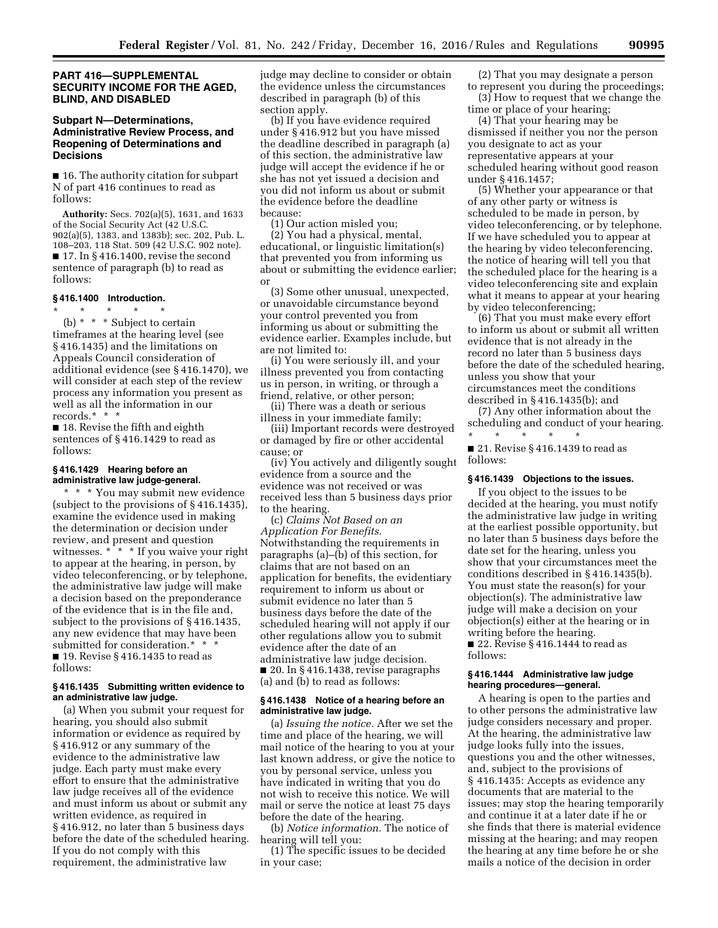## **PART 416—SUPPLEMENTAL SECURITY INCOME FOR THE AGED, BLIND, AND DISABLED**

## **Subpart N—Determinations, Administrative Review Process, and Reopening of Determinations and Decisions**

■ 16. The authority citation for subpart N of part 416 continues to read as follows:

**Authority:** Secs. 702(a)(5), 1631, and 1633 of the Social Security Act (42 U.S.C. 902(a)(5), 1383, and 1383b); sec. 202, Pub. L. 108–203, 118 Stat. 509 (42 U.S.C. 902 note).  $\blacksquare$  17. In § 416.1400, revise the second sentence of paragraph (b) to read as follows:

## **§ 416.1400 Introduction.**

\* \* \* \* \*

(b) \* \* \* Subject to certain timeframes at the hearing level (see § 416.1435) and the limitations on Appeals Council consideration of additional evidence (see § 416.1470), we will consider at each step of the review process any information you present as well as all the information in our records.\* \* \*

■ 18. Revise the fifth and eighth sentences of § 416.1429 to read as follows:

## **§ 416.1429 Hearing before an administrative law judge-general.**

\* \* \* You may submit new evidence (subject to the provisions of § 416.1435), examine the evidence used in making the determination or decision under review, and present and question witnesses. \* \* \* If you waive your right to appear at the hearing, in person, by video teleconferencing, or by telephone, the administrative law judge will make a decision based on the preponderance of the evidence that is in the file and, subject to the provisions of § 416.1435, any new evidence that may have been submitted for consideration.\* \* \* ■ 19. Revise § 416.1435 to read as follows:

## **§ 416.1435 Submitting written evidence to an administrative law judge.**

(a) When you submit your request for hearing, you should also submit information or evidence as required by § 416.912 or any summary of the evidence to the administrative law judge. Each party must make every effort to ensure that the administrative law judge receives all of the evidence and must inform us about or submit any written evidence, as required in § 416.912, no later than 5 business days before the date of the scheduled hearing. If you do not comply with this requirement, the administrative law

judge may decline to consider or obtain the evidence unless the circumstances described in paragraph (b) of this section apply.

(b) If you have evidence required under § 416.912 but you have missed the deadline described in paragraph (a) of this section, the administrative law judge will accept the evidence if he or she has not yet issued a decision and you did not inform us about or submit the evidence before the deadline because:

(1) Our action misled you; (2) You had a physical, mental, educational, or linguistic limitation(s) that prevented you from informing us about or submitting the evidence earlier; or

(3) Some other unusual, unexpected, or unavoidable circumstance beyond your control prevented you from informing us about or submitting the evidence earlier. Examples include, but are not limited to:

(i) You were seriously ill, and your illness prevented you from contacting us in person, in writing, or through a friend, relative, or other person;

(ii) There was a death or serious illness in your immediate family;

(iii) Important records were destroyed or damaged by fire or other accidental cause; or

(iv) You actively and diligently sought evidence from a source and the evidence was not received or was received less than 5 business days prior to the hearing.

(c) *Claims Not Based on an Application For Benefits.*  Notwithstanding the requirements in paragraphs (a)–(b) of this section, for claims that are not based on an application for benefits, the evidentiary requirement to inform us about or submit evidence no later than 5 business days before the date of the scheduled hearing will not apply if our other regulations allow you to submit evidence after the date of an administrative law judge decision. ■ 20. In § 416.1438, revise paragraphs (a) and (b) to read as follows:

#### **§ 416.1438 Notice of a hearing before an administrative law judge.**

(a) *Issuing the notice.* After we set the time and place of the hearing, we will mail notice of the hearing to you at your last known address, or give the notice to you by personal service, unless you have indicated in writing that you do not wish to receive this notice. We will mail or serve the notice at least 75 days before the date of the hearing.

(b) *Notice information.* The notice of hearing will tell you:

(1) The specific issues to be decided in your case;

(2) That you may designate a person to represent you during the proceedings; (3) How to request that we change the

time or place of your hearing;

(4) That your hearing may be dismissed if neither you nor the person you designate to act as your representative appears at your scheduled hearing without good reason under § 416.1457;

(5) Whether your appearance or that of any other party or witness is scheduled to be made in person, by video teleconferencing, or by telephone. If we have scheduled you to appear at the hearing by video teleconferencing, the notice of hearing will tell you that the scheduled place for the hearing is a video teleconferencing site and explain what it means to appear at your hearing by video teleconferencing;

(6) That you must make every effort to inform us about or submit all written evidence that is not already in the record no later than 5 business days before the date of the scheduled hearing, unless you show that your circumstances meet the conditions described in § 416.1435(b); and

(7) Any other information about the scheduling and conduct of your hearing. \* \* \* \* \*

■ 21. Revise § 416.1439 to read as follows:

## **§ 416.1439 Objections to the issues.**

If you object to the issues to be decided at the hearing, you must notify the administrative law judge in writing at the earliest possible opportunity, but no later than 5 business days before the date set for the hearing, unless you show that your circumstances meet the conditions described in § 416.1435(b). You must state the reason(s) for your objection(s). The administrative law judge will make a decision on your objection(s) either at the hearing or in writing before the hearing.

■ 22. Revise § 416.1444 to read as follows:

#### **§ 416.1444 Administrative law judge hearing procedures—general.**

A hearing is open to the parties and to other persons the administrative law judge considers necessary and proper. At the hearing, the administrative law judge looks fully into the issues, questions you and the other witnesses, and, subject to the provisions of § 416.1435: Accepts as evidence any documents that are material to the issues; may stop the hearing temporarily and continue it at a later date if he or she finds that there is material evidence missing at the hearing; and may reopen the hearing at any time before he or she mails a notice of the decision in order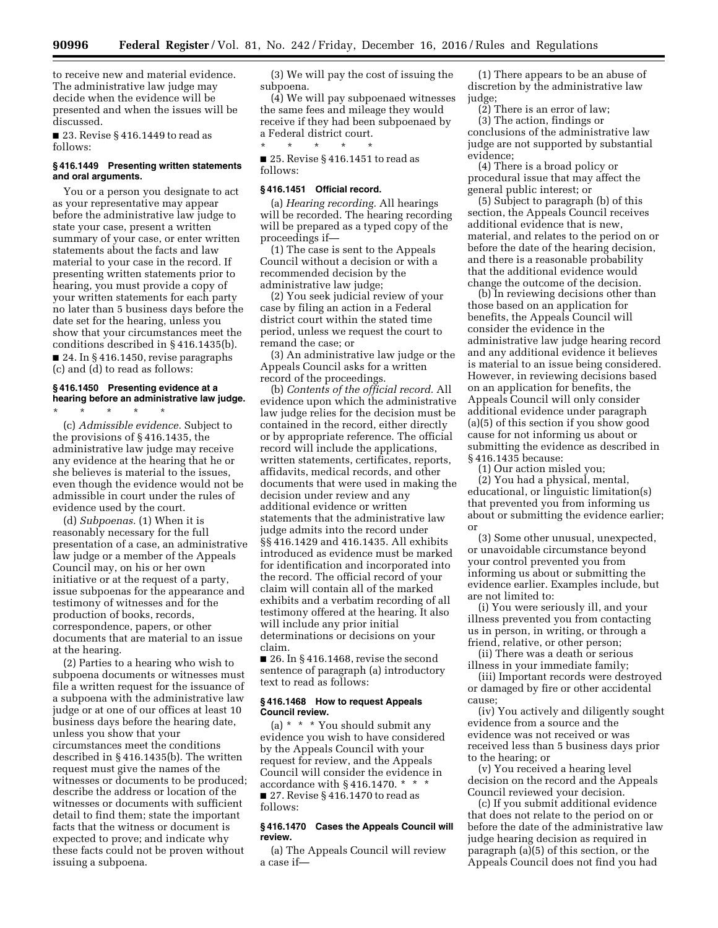to receive new and material evidence. The administrative law judge may decide when the evidence will be presented and when the issues will be discussed.

■ 23. Revise § 416.1449 to read as follows:

## **§ 416.1449 Presenting written statements and oral arguments.**

You or a person you designate to act as your representative may appear before the administrative law judge to state your case, present a written summary of your case, or enter written statements about the facts and law material to your case in the record. If presenting written statements prior to hearing, you must provide a copy of your written statements for each party no later than 5 business days before the date set for the hearing, unless you show that your circumstances meet the conditions described in § 416.1435(b).

■ 24. In § 416.1450, revise paragraphs (c) and (d) to read as follows:

# **§ 416.1450 Presenting evidence at a hearing before an administrative law judge.**

\* \* \* \* \*

(c) *Admissible evidence.* Subject to the provisions of § 416.1435, the administrative law judge may receive any evidence at the hearing that he or she believes is material to the issues, even though the evidence would not be admissible in court under the rules of evidence used by the court.

(d) *Subpoenas.* (1) When it is reasonably necessary for the full presentation of a case, an administrative law judge or a member of the Appeals Council may, on his or her own initiative or at the request of a party, issue subpoenas for the appearance and testimony of witnesses and for the production of books, records, correspondence, papers, or other documents that are material to an issue at the hearing.

(2) Parties to a hearing who wish to subpoena documents or witnesses must file a written request for the issuance of a subpoena with the administrative law judge or at one of our offices at least 10 business days before the hearing date, unless you show that your circumstances meet the conditions described in § 416.1435(b). The written request must give the names of the witnesses or documents to be produced; describe the address or location of the witnesses or documents with sufficient detail to find them; state the important facts that the witness or document is expected to prove; and indicate why these facts could not be proven without issuing a subpoena.

(3) We will pay the cost of issuing the subpoena.

(4) We will pay subpoenaed witnesses the same fees and mileage they would receive if they had been subpoenaed by a Federal district court.

\* \* \* \* \* ■ 25. Revise § 416.1451 to read as follows:

#### **§ 416.1451 Official record.**

(a) *Hearing recording.* All hearings will be recorded. The hearing recording will be prepared as a typed copy of the proceedings if—

(1) The case is sent to the Appeals Council without a decision or with a recommended decision by the administrative law judge;

(2) You seek judicial review of your case by filing an action in a Federal district court within the stated time period, unless we request the court to remand the case; or

(3) An administrative law judge or the Appeals Council asks for a written record of the proceedings.

(b) *Contents of the official record.* All evidence upon which the administrative law judge relies for the decision must be contained in the record, either directly or by appropriate reference. The official record will include the applications, written statements, certificates, reports, affidavits, medical records, and other documents that were used in making the decision under review and any additional evidence or written statements that the administrative law judge admits into the record under §§ 416.1429 and 416.1435. All exhibits introduced as evidence must be marked for identification and incorporated into the record. The official record of your claim will contain all of the marked exhibits and a verbatim recording of all testimony offered at the hearing. It also will include any prior initial determinations or decisions on your claim.

 $\blacksquare$  26. In § 416.1468, revise the second sentence of paragraph (a) introductory text to read as follows:

#### **§ 416.1468 How to request Appeals Council review.**

(a) \* \* \* You should submit any evidence you wish to have considered by the Appeals Council with your request for review, and the Appeals Council will consider the evidence in accordance with § 416.1470. \* \* \* ■ 27. Revise § 416.1470 to read as follows:

#### **§ 416.1470 Cases the Appeals Council will review.**

(a) The Appeals Council will review a case if—

(1) There appears to be an abuse of discretion by the administrative law judge;

(2) There is an error of law;

(3) The action, findings or conclusions of the administrative law judge are not supported by substantial evidence;

(4) There is a broad policy or procedural issue that may affect the general public interest; or

(5) Subject to paragraph (b) of this section, the Appeals Council receives additional evidence that is new, material, and relates to the period on or before the date of the hearing decision, and there is a reasonable probability that the additional evidence would change the outcome of the decision.

(b) In reviewing decisions other than those based on an application for benefits, the Appeals Council will consider the evidence in the administrative law judge hearing record and any additional evidence it believes is material to an issue being considered. However, in reviewing decisions based on an application for benefits, the Appeals Council will only consider additional evidence under paragraph (a)(5) of this section if you show good cause for not informing us about or submitting the evidence as described in § 416.1435 because:

(1) Our action misled you;

(2) You had a physical, mental, educational, or linguistic limitation(s) that prevented you from informing us about or submitting the evidence earlier; or

(3) Some other unusual, unexpected, or unavoidable circumstance beyond your control prevented you from informing us about or submitting the evidence earlier. Examples include, but are not limited to:

(i) You were seriously ill, and your illness prevented you from contacting us in person, in writing, or through a friend, relative, or other person;

(ii) There was a death or serious illness in your immediate family;

(iii) Important records were destroyed or damaged by fire or other accidental cause;

(iv) You actively and diligently sought evidence from a source and the evidence was not received or was received less than 5 business days prior to the hearing; or

(v) You received a hearing level decision on the record and the Appeals Council reviewed your decision.

(c) If you submit additional evidence that does not relate to the period on or before the date of the administrative law judge hearing decision as required in paragraph (a)(5) of this section, or the Appeals Council does not find you had